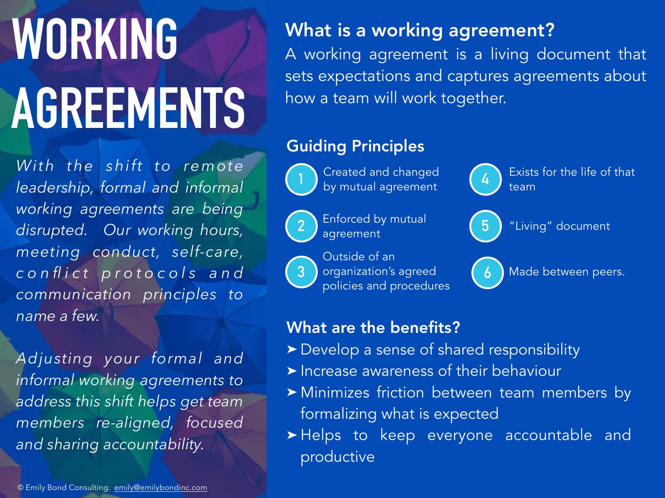# **WORKING AGREEMENTS**

*With the shift to remote leadership, formal and informal working agreements are being disrupted. Our working hours, meeting conduct, self-care, c o n fl i c t p r o t o c o l s a n d communication principles to name a few.* 

*Adjusting your formal and informal working agreements to address this shift helps get team members re-aligned, focused and sharing accountability.*

#### What is a working agreement?

A working agreement is a living document that sets expectations and captures agreements about how a team will work together.

#### Guiding Principles



1 **b** Created and changed (4 Created and changed by mutual agreement



Enforced by mutual agreement







"Living" document

Made between peers.

#### What are the benefits?

- ➤ Develop a sense of shared responsibility
- ➤ Increase awareness of their behaviour
- ➤ Minimizes friction between team members by formalizing what is expected
- ➤ Helps to keep everyone accountable and productive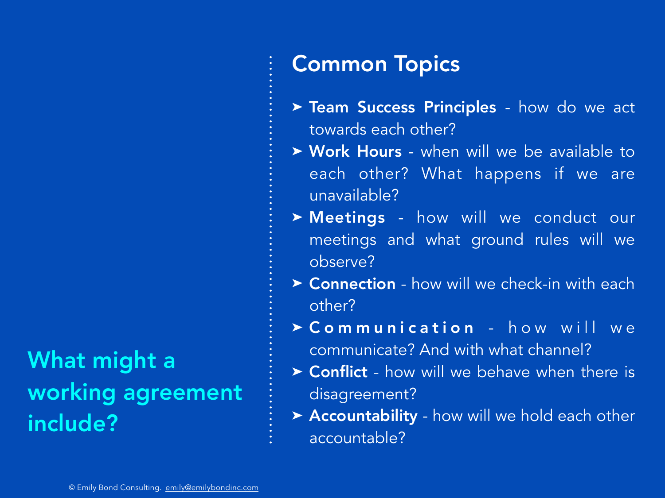# What might a working agreement include?

### Common Topics

- ▶ Team Success Principles how do we act towards each other?
- ▶ Work Hours when will we be available to each other? What happens if we are unavailable?
- ➤ Meetings how will we conduct our meetings and what ground rules will we observe?
- ➤ Connection how will we check-in with each other?
- $\triangleright$  Communication how will we communicate? And with what channel?
- ▶ Conflict how will we behave when there is disagreement?
- ▶ Accountability how will we hold each other accountable?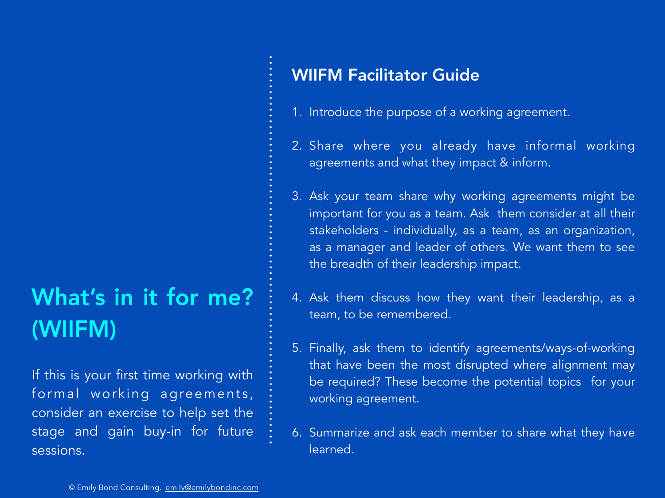# What's in it for me? (WIIFM)

If this is your first time working with formal working agreements, consider an exercise to help set the stage and gain buy-in for future sessions.

#### WIIFM Facilitator Guide

- 1. Introduce the purpose of a working agreement.
- 2. Share where you already have informal working agreements and what they impact & inform.
- 3. Ask your team share why working agreements might be important for you as a team. Ask them consider at all their stakeholders - individually, as a team, as an organization, as a manager and leader of others. We want them to see the breadth of their leadership impact.
- 4. Ask them discuss how they want their leadership, as a team, to be remembered.
- 5. Finally, ask them to identify agreements/ways-of-working that have been the most disrupted where alignment may be required? These become the potential topics for your working agreement.
- 6. Summarize and ask each member to share what they have learned.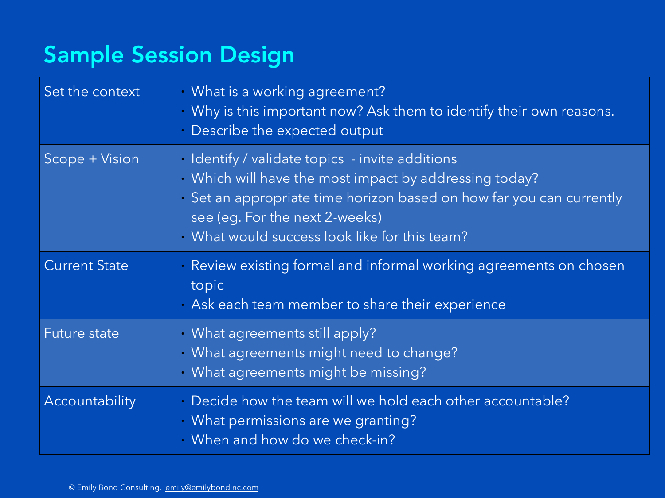## Sample Session Design

| Set the context      | What is a working agreement?<br>$\bullet$<br>Why is this important now? Ask them to identify their own reasons.<br>Describe the expected output                                                                                                                    |
|----------------------|--------------------------------------------------------------------------------------------------------------------------------------------------------------------------------------------------------------------------------------------------------------------|
| Scope + Vision       | • Identify / validate topics - invite additions<br>· Which will have the most impact by addressing today?<br>• Set an appropriate time horizon based on how far you can currently<br>see (eg. For the next 2-weeks)<br>What would success look like for this team? |
| <b>Current State</b> | Review existing formal and informal working agreements on chosen<br>topic<br>Ask each team member to share their experience                                                                                                                                        |
| <b>Future state</b>  | • What agreements still apply?<br>· What agreements might need to change?<br>· What agreements might be missing?                                                                                                                                                   |
| Accountability       | Decide how the team will we hold each other accountable?<br>What permissions are we granting?<br>When and how do we check-in?<br>$\bullet$                                                                                                                         |